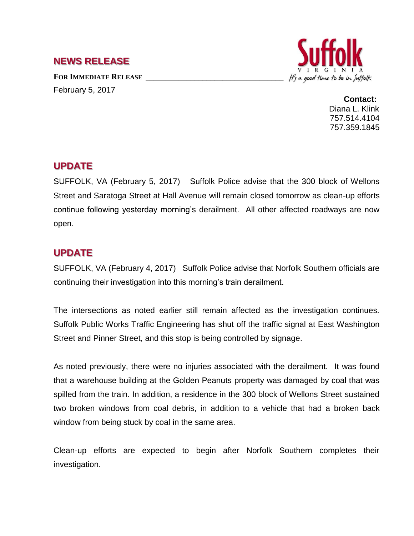## **NEWS RELEASE**

**FOR IMMEDIATE RELEASE \_\_\_\_\_\_\_\_\_\_\_\_\_\_\_\_\_\_\_\_\_\_\_\_\_\_\_\_\_\_\_\_\_\_** February 5, 2017



**Contact:** Diana L. Klink 757.514.4104 757.359.1845

## **UPDATE**

SUFFOLK, VA (February 5, 2017) Suffolk Police advise that the 300 block of Wellons Street and Saratoga Street at Hall Avenue will remain closed tomorrow as clean-up efforts continue following yesterday morning's derailment. All other affected roadways are now open.

## **UPDATE**

SUFFOLK, VA (February 4, 2017) Suffolk Police advise that Norfolk Southern officials are continuing their investigation into this morning's train derailment.

The intersections as noted earlier still remain affected as the investigation continues. Suffolk Public Works Traffic Engineering has shut off the traffic signal at East Washington Street and Pinner Street, and this stop is being controlled by signage.

As noted previously, there were no injuries associated with the derailment. It was found that a warehouse building at the Golden Peanuts property was damaged by coal that was spilled from the train. In addition, a residence in the 300 block of Wellons Street sustained two broken windows from coal debris, in addition to a vehicle that had a broken back window from being stuck by coal in the same area.

Clean-up efforts are expected to begin after Norfolk Southern completes their investigation.